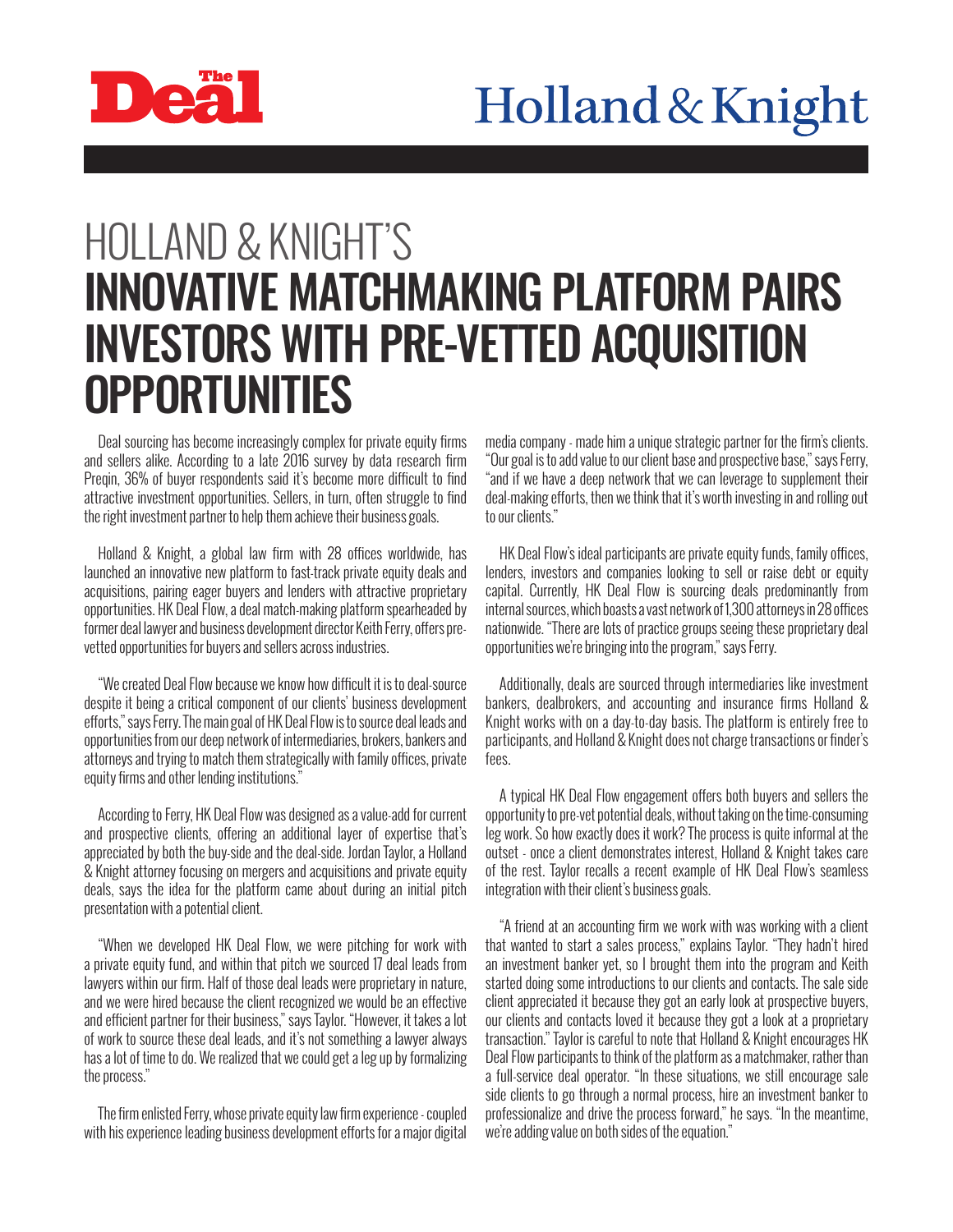

## HOLLAND & KNIGHT'S INNOVATIVE MATCHMAKING PLATFORM PAIRS INVESTORS WITH PRE-VETTED ACQUISITION **OPPORTUNITIES**

Deal sourcing has become increasingly complex for private equity firms and sellers alike. According to a late 2016 survey by data research firm Preqin, 36% of buyer respondents said it's become more difficult to find attractive investment opportunities. Sellers, in turn, often struggle to find the right investment partner to help them achieve their business goals.

Holland & Knight, a global law firm with 28 offices worldwide, has launched an innovative new platform to fast-track private equity deals and acquisitions, pairing eager buyers and lenders with attractive proprietary opportunities. HK Deal Flow, a deal match-making platform spearheaded by former deal lawyer and business development director Keith Ferry, offers prevetted opportunities for buyers and sellers across industries.

"We created Deal Flow because we know how difficult it is to deal-source despite it being a critical component of our clients' business development efforts," says Ferry. The main goal of HK Deal Flow is to source deal leads and opportunities from our deep network of intermediaries, brokers, bankers and attorneys and trying to match them strategically with family offices, private equity firms and other lending institutions."

According to Ferry, HK Deal Flow was designed as a value-add for current and prospective clients, offering an additional layer of expertise that's appreciated by both the buy-side and the deal-side. Jordan Taylor, a Holland & Knight attorney focusing on mergers and acquisitions and private equity deals, says the idea for the platform came about during an initial pitch presentation with a potential client.

"When we developed HK Deal Flow, we were pitching for work with a private equity fund, and within that pitch we sourced 17 deal leads from lawyers within our firm. Half of those deal leads were proprietary in nature, and we were hired because the client recognized we would be an effective and efficient partner for their business," says Taylor. "However, it takes a lot of work to source these deal leads, and it's not something a lawyer always has a lot of time to do. We realized that we could get a leg up by formalizing the process."

The firm enlisted Ferry, whose private equity law firm experience - coupled with his experience leading business development efforts for a major digital media company - made him a unique strategic partner for the firm's clients. "Our goal is to add value to our client base and prospective base," says Ferry, "and if we have a deep network that we can leverage to supplement their deal-making efforts, then we think that it's worth investing in and rolling out to our clients."

HK Deal Flow's ideal participants are private equity funds, family offices, lenders, investors and companies looking to sell or raise debt or equity capital. Currently, HK Deal Flow is sourcing deals predominantly from internal sources, which boasts a vast network of 1,300 attorneys in 28 offices nationwide. "There are lots of practice groups seeing these proprietary deal opportunities we're bringing into the program," says Ferry.

Additionally, deals are sourced through intermediaries like investment bankers, dealbrokers, and accounting and insurance firms Holland & Knight works with on a day-to-day basis. The platform is entirely free to participants, and Holland & Knight does not charge transactions or finder's fees.

A typical HK Deal Flow engagement offers both buyers and sellers the opportunity to pre-vet potential deals, without taking on the time-consuming leg work. So how exactly does it work? The process is quite informal at the outset - once a client demonstrates interest, Holland & Knight takes care of the rest. Taylor recalls a recent example of HK Deal Flow's seamless integration with their client's business goals.

"A friend at an accounting firm we work with was working with a client that wanted to start a sales process," explains Taylor. "They hadn't hired an investment banker yet, so I brought them into the program and Keith started doing some introductions to our clients and contacts. The sale side client appreciated it because they got an early look at prospective buyers, our clients and contacts loved it because they got a look at a proprietary transaction." Taylor is careful to note that Holland & Knight encourages HK Deal Flow participants to think of the platform as a matchmaker, rather than a full-service deal operator. "In these situations, we still encourage sale side clients to go through a normal process, hire an investment banker to professionalize and drive the process forward," he says. "In the meantime, we're adding value on both sides of the equation."